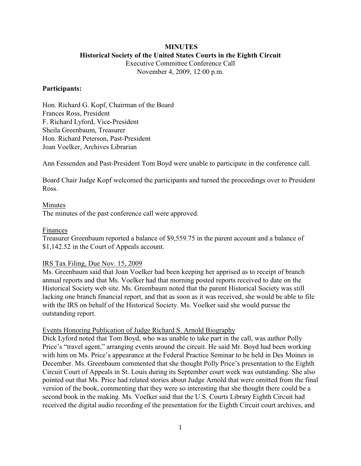### **MINUTES Historical Society of the United States Courts in the Eighth Circuit**

Executive Committee Conference Call November 4, 2009, 12:00 p.m.

### **Participants:**

Hon. Richard G. Kopf, Chairman of the Board Frances Ross, President F. Richard Lyford, Vice-President Sheila Greenbaum, Treasurer Hon. Richard Peterson, Past-President Joan Voelker, Archives Librarian

Ann Fessenden and Past-President Tom Boyd were unable to participate in the conference call.

Board Chair Judge Kopf welcomed the participants and turned the proceedings over to President Ross.

## Minutes The minutes of the past conference call were approved.

### Finances

Treasurer Greenbaum reported a balance of \$9,559.75 in the parent account and a balance of \$1,142.52 in the Court of Appeals account.

### IRS Tax Filing, Due Nov. 15, 2009

Ms. Greenbaum said that Joan Voelker had been keeping her apprised as to receipt of branch annual reports and that Ms. Voelker had that morning posted reports received to date on the Historical Society web site. Ms. Greenbaum noted that the parent Historical Society was still lacking one branch financial report, and that as soon as it was received, she would be able to file with the IRS on behalf of the Historical Society. Ms. Voelker said she would pursue the outstanding report.

### Events Honoring Publication of Judge Richard S. Arnold Biography

Dick Lyford noted that Tom Boyd, who was unable to take part in the call, was author Polly Price's "travel agent," arranging events around the circuit. He said Mr. Boyd had been working with him on Ms. Price's appearance at the Federal Practice Seminar to be held in Des Moines in December. Ms. Greenbaum commented that she thought Polly Price's presentation to the Eighth Circuit Court of Appeals in St. Louis during its September court week was outstanding. She also pointed out that Ms. Price had related stories about Judge Arnold that were omitted from the final version of the book, commenting that they were so interesting that she thought there could be a second book in the making. Ms. Voelker said that the U.S. Courts Library Eighth Circuit had received the digital audio recording of the presentation for the Eighth Circuit court archives, and